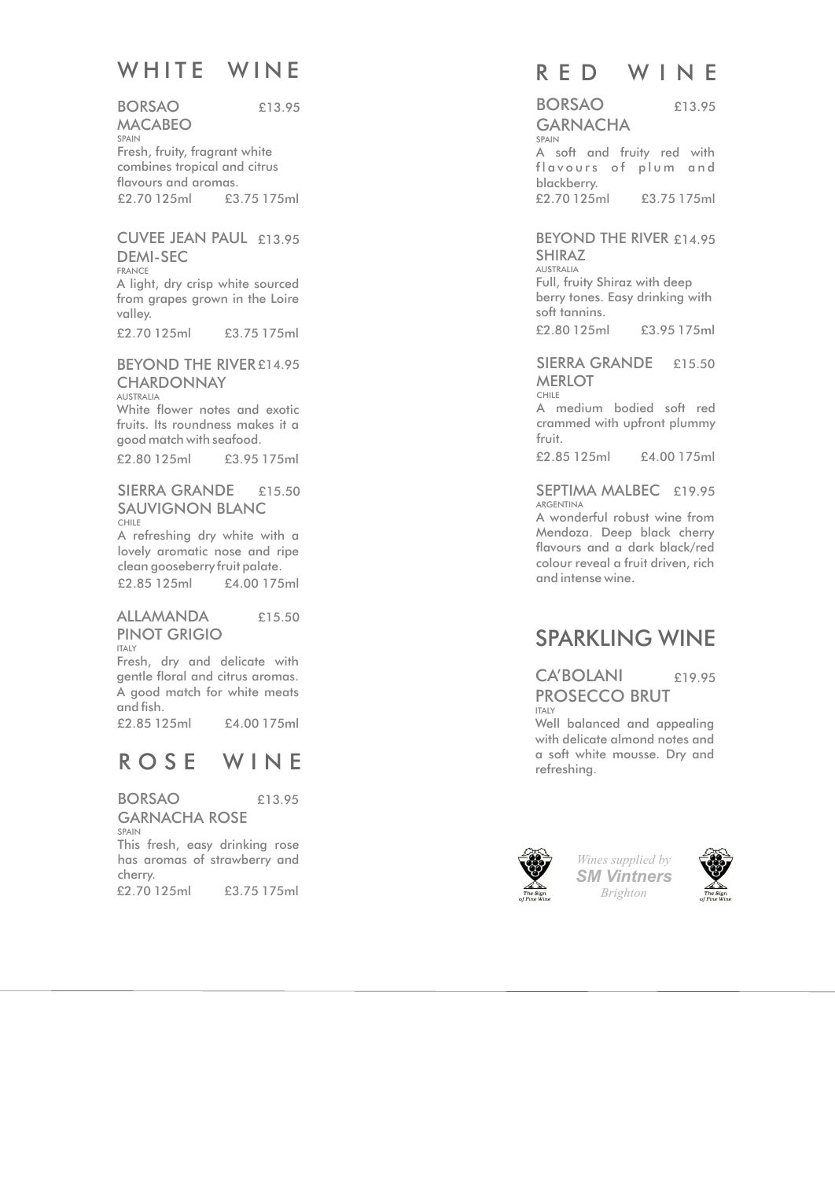# WHITE WINE

BORSA O MACABEO SPAIN Fresh, fruity, fragrant white combines tropical and citrus flavours and aromas. £2.70 125ml £3.75 175ml £13.95

### CUVEE JEAN PAUL £13.95 DEMI-SEC

FRANCE A light, dry crisp white sourced from grapes grown in the Loire valley.

£2.70 125ml £3.75 175ml

#### BEYOND THE RIVER £14.95 **CHARDONNAY** AUSTRALIA

White flower notes and exotic fruits. Its roundness makes it a good match with seafood. £2.80 125ml £3.95 175ml

#### SIERRA GRANDE £15.50 SAUVIGNON BLANC CHILE

A refreshing dry white with a lovely aromatic nose and ripe clean gooseberry fruit palate. £2.85 125ml £4.00 175ml

#### ALLAMANDA PINOT GRIGIO £15.50

ITALY Fresh, dry and delicate with gentle floral and citrus aromas. A good match for white meats and fish.

£2.85 125ml £4.00 175ml

## ROSE WINE

BORSAO GARNACHA ROSE SPAIN This fresh, easy drinking rose has aromas of strawberry and cherry. £2.70 125ml £3.75 175ml £13.95

## RED WINE

#### BORSAO **GARNACHA** SPAIN A soft and fruity red with £13.95

flavours of plum and blackberry. £2.70 125ml £3.75 175ml

### BEYOND THE RIVER £14.95 SHIRAZ

AUSTRALIA Full, fruity Shiraz with deep berry tones. Easy drinking with soft tannins. £2.80 125ml £3.95 175ml

## SIERRA GRANDE £15.50 **MERLOT**

CHILE

A medium bodied soft red crammed with upfront plummy fruit.

£2.85 125ml £4.00 175ml

#### SEPTIMA MALBEC £19.95 ARGENTINA

A wonderful robust wine from Mendoza. Deep black cherry flavours and a dark black/red colour reveal a fruit driven, rich and intense wine.

# SPARKLING WINE

#### CA'BOLANI PROSECCO BRUT ITALY £19.95

Well balanced and appealing with delicate almond notes and a soft white mousse. Dry and refreshing .



*Wines supplied by SM Vintners*



*Brighton*